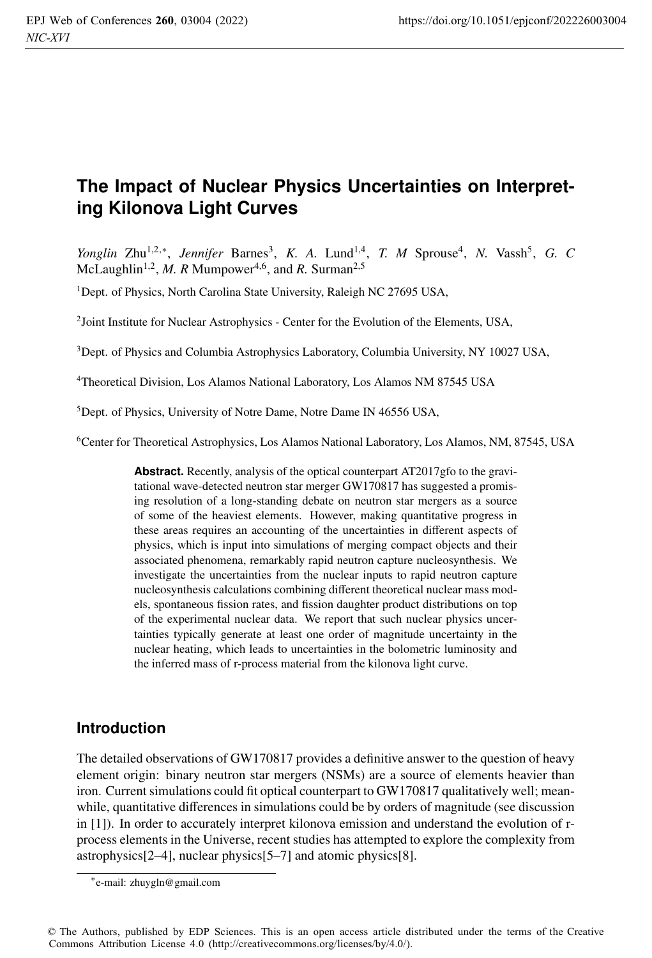# **The Impact of Nuclear Physics Uncertainties on Interpreting Kilonova Light Curves**

*Yonglin* Zhu<sup>1,2,∗</sup>, *Jennifer* Barnes<sup>3</sup>, *K. A.* Lund<sup>1,4</sup>, *T. M* Sprouse<sup>4</sup>, *N.* Vassh<sup>5</sup>, *G. C* McLaughlin<sup>1,2</sup>, *M. R* Mumpower<sup>4,6</sup>, and *R.* Surman<sup>2,5</sup>

<sup>1</sup>Dept. of Physics, North Carolina State University, Raleigh NC 27695 USA,

2Joint Institute for Nuclear Astrophysics - Center for the Evolution of the Elements, USA,

<sup>3</sup>Dept. of Physics and Columbia Astrophysics Laboratory, Columbia University, NY 10027 USA,

4Theoretical Division, Los Alamos National Laboratory, Los Alamos NM 87545 USA

<sup>5</sup>Dept. of Physics, University of Notre Dame, Notre Dame IN 46556 USA,

6Center for Theoretical Astrophysics, Los Alamos National Laboratory, Los Alamos, NM, 87545, USA

**Abstract.** Recently, analysis of the optical counterpart AT2017gfo to the gravitational wave-detected neutron star merger GW170817 has suggested a promising resolution of a long-standing debate on neutron star mergers as a source of some of the heaviest elements. However, making quantitative progress in these areas requires an accounting of the uncertainties in different aspects of physics, which is input into simulations of merging compact objects and their associated phenomena, remarkably rapid neutron capture nucleosynthesis. We investigate the uncertainties from the nuclear inputs to rapid neutron capture nucleosynthesis calculations combining different theoretical nuclear mass models, spontaneous fission rates, and fission daughter product distributions on top of the experimental nuclear data. We report that such nuclear physics uncertainties typically generate at least one order of magnitude uncertainty in the nuclear heating, which leads to uncertainties in the bolometric luminosity and the inferred mass of r-process material from the kilonova light curve.

#### **Introduction**

The detailed observations of GW170817 provides a definitive answer to the question of heavy element origin: binary neutron star mergers (NSMs) are a source of elements heavier than iron. Current simulations could fit optical counterpart to GW170817 qualitatively well; meanwhile, quantitative differences in simulations could be by orders of magnitude (see discussion in [1]). In order to accurately interpret kilonova emission and understand the evolution of rprocess elements in the Universe, recent studies has attempted to explore the complexity from astrophysics[2–4], nuclear physics[5–7] and atomic physics[8].

<sup>∗</sup>e-mail: zhuygln@gmail.com

<sup>©</sup> The Authors, published by EDP Sciences. This is an open access article distributed under the terms of the Creative Commons Attribution License 4.0 (http://creativecommons.org/licenses/by/4.0/).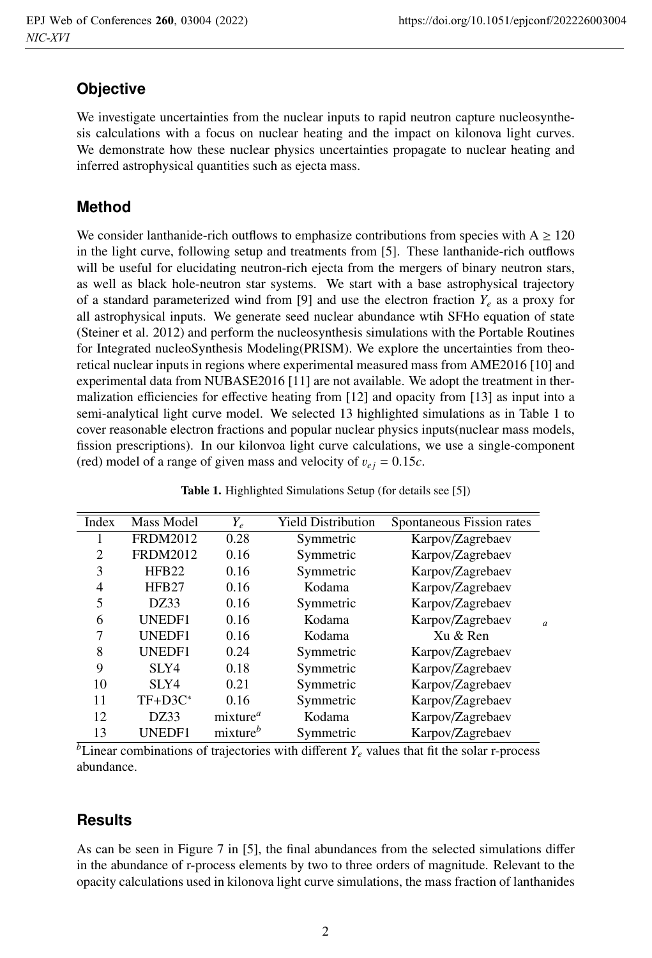# **Objective**

We investigate uncertainties from the nuclear inputs to rapid neutron capture nucleosynthesis calculations with a focus on nuclear heating and the impact on kilonova light curves. We demonstrate how these nuclear physics uncertainties propagate to nuclear heating and inferred astrophysical quantities such as ejecta mass.

## **Method**

We consider lanthanide-rich outflows to emphasize contributions from species with  $A \ge 120$ in the light curve, following setup and treatments from [5]. These lanthanide-rich outflows will be useful for elucidating neutron-rich ejecta from the mergers of binary neutron stars, as well as black hole-neutron star systems. We start with a base astrophysical trajectory of a standard parameterized wind from [9] and use the electron fraction  $Y_e$  as a proxy for all astrophysical inputs. We generate seed nuclear abundance wtih SFHo equation of state (Steiner et al. 2012) and perform the nucleosynthesis simulations with the Portable Routines for Integrated nucleoSynthesis Modeling(PRISM). We explore the uncertainties from theoretical nuclear inputs in regions where experimental measured mass from AME2016 [10] and experimental data from NUBASE2016 [11] are not available. We adopt the treatment in thermalization efficiencies for effective heating from [12] and opacity from [13] as input into a semi-analytical light curve model. We selected 13 highlighted simulations as in Table 1 to cover reasonable electron fractions and popular nuclear physics inputs(nuclear mass models, fission prescriptions). In our kilonvoa light curve calculations, we use a single-component (red) model of a range of given mass and velocity of  $v_{ej} = 0.15c$ .

| Index | Mass Model        | $Y_e$                | <b>Yield Distribution</b> | Spontaneous Fission rates |                |
|-------|-------------------|----------------------|---------------------------|---------------------------|----------------|
|       | <b>FRDM2012</b>   | 0.28                 | Symmetric                 | Karpov/Zagrebaev          |                |
| 2     | <b>FRDM2012</b>   | 0.16                 | Symmetric                 | Karpov/Zagrebaev          |                |
| 3     | HFB <sub>22</sub> | 0.16                 | Symmetric                 | Karpov/Zagrebaev          |                |
| 4     | HFB <sub>27</sub> | 0.16                 | Kodama                    | Karpov/Zagrebaev          |                |
| 5     | DZ33              | 0.16                 | Symmetric                 | Karpov/Zagrebaev          |                |
| 6     | UNEDF1            | 0.16                 | Kodama                    | Karpov/Zagrebaev          | $\overline{a}$ |
| 7     | UNEDF1            | 0.16                 | Kodama                    | Xu & Ren                  |                |
| 8     | UNEDF1            | 0.24                 | Symmetric                 | Karpov/Zagrebaev          |                |
| 9     | SLY4              | 0.18                 | Symmetric                 | Karpov/Zagrebaev          |                |
| 10    | SLY4              | 0.21                 | Symmetric                 | Karpov/Zagrebaev          |                |
| 11    | $TF+D3C^*$        | 0.16                 | Symmetric                 | Karpov/Zagrebaev          |                |
| 12    | DZ33              | mixture <sup>a</sup> | Kodama                    | Karpov/Zagrebaev          |                |
| 13    | <b>UNEDF1</b>     | mixture <sup>b</sup> | Symmetric                 | Karpov/Zagrebaev          |                |
|       |                   |                      |                           |                           |                |

Table 1. Highlighted Simulations Setup (for details see [5])

 $\overline{b}$ Linear combinations of trajectories with different  $Y_e$  values that fit the solar r-process abundance.

# **Results**

As can be seen in Figure 7 in [5], the final abundances from the selected simulations differ in the abundance of r-process elements by two to three orders of magnitude. Relevant to the opacity calculations used in kilonova light curve simulations, the mass fraction of lanthanides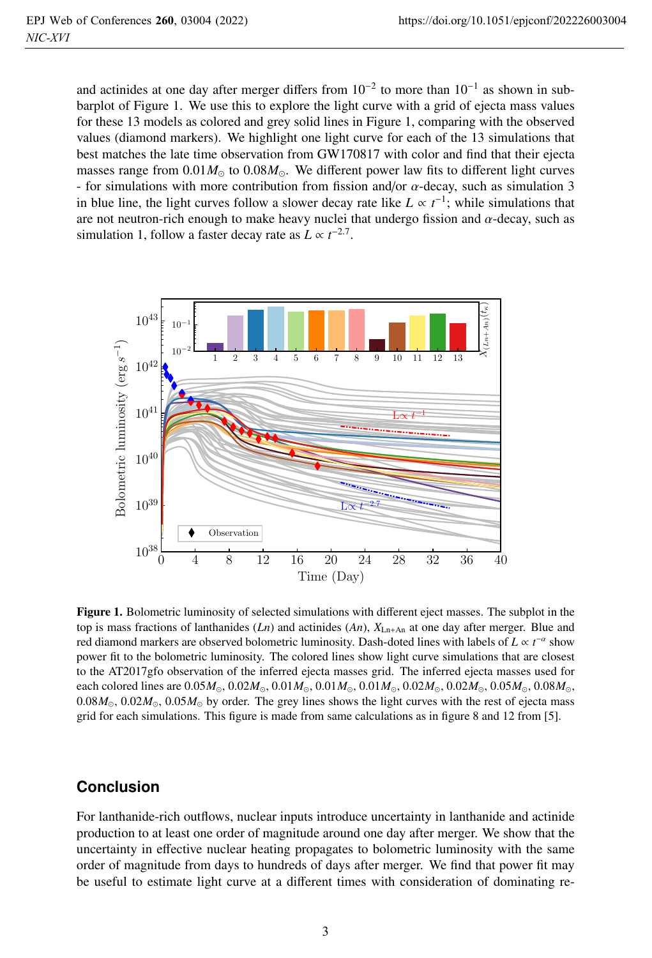and actinides at one day after merger differs from  $10^{-2}$  to more than  $10^{-1}$  as shown in subbarplot of Figure 1. We use this to explore the light curve with a grid of ejecta mass values for these 13 models as colored and grey solid lines in Figure 1, comparing with the observed values (diamond markers). We highlight one light curve for each of the 13 simulations that best matches the late time observation from GW170817 with color and find that their ejecta masses range from  $0.01M_{\odot}$  to  $0.08M_{\odot}$ . We different power law fits to different light curves - for simulations with more contribution from fission and/or  $\alpha$ -decay, such as simulation 3 in blue line, the light curves follow a slower decay rate like  $L \propto t^{-1}$ ; while simulations that are not neutron-rich enough to make heavy nuclei that undergo fission and  $\alpha$ -decay such as are not neutron-rich enough to make heavy nuclei that undergo fission and  $\alpha$ -decay, such as simulation 1, follow a faster decay rate as  $L \propto t^{-2.7}$ .



Figure 1. Bolometric luminosity of selected simulations with different eject masses. The subplot in the top is mass fractions of lanthanides  $(Ln)$  and actinides  $(An)$ ,  $X_{L,n+An}$  at one day after merger. Blue and red diamond markers are observed bolometric luminosity. Dash-doted lines with labels of  $L \propto t^{-\alpha}$  show<br>power fit to the bolometric luminosity. The colored lines show light curve simulations that are closest power fit to the bolometric luminosity. The colored lines show light curve simulations that are closest to the AT2017gfo observation of the inferred ejecta masses grid. The inferred ejecta masses used for each colored lines are  $0.05M_{\odot}$ ,  $0.02M_{\odot}$ ,  $0.01M_{\odot}$ ,  $0.01M_{\odot}$ ,  $0.02M_{\odot}$ ,  $0.02M_{\odot}$ ,  $0.05M_{\odot}$ ,  $0.08M_{\odot}$ ,  $0.08M_{\odot}$ ,  $0.02M_{\odot}$ ,  $0.05M_{\odot}$  by order. The grey lines shows the light curves with the rest of ejecta mass grid for each simulations. This figure is made from same calculations as in figure 8 and 12 from [5].

#### **Conclusion**

For lanthanide-rich outflows, nuclear inputs introduce uncertainty in lanthanide and actinide production to at least one order of magnitude around one day after merger. We show that the uncertainty in effective nuclear heating propagates to bolometric luminosity with the same order of magnitude from days to hundreds of days after merger. We find that power fit may be useful to estimate light curve at a different times with consideration of dominating re